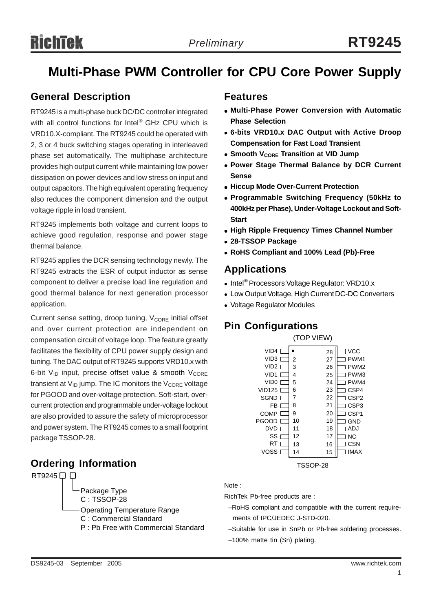# **Multi-Phase PWM Controller for CPU Core Power Supply**

## **General Description**

RT9245 is a multi-phase buck DC/DC controller integrated with all control functions for Intel® GHz CPU which is VRD10.X-compliant. The RT9245 could be operated with 2, 3 or 4 buck switching stages operating in interleaved phase set automatically. The multiphase architecture provides high output current while maintaining low power dissipation on power devices and low stress on input and output capacitors. The high equivalent operating frequency also reduces the component dimension and the output voltage ripple in load transient.

RT9245 implements both voltage and current loops to achieve good regulation, response and power stage thermal balance.

RT9245 applies the DCR sensing technology newly. The RT9245 extracts the ESR of output inductor as sense component to deliver a precise load line regulation and good thermal balance for next generation processor application.

Current sense setting, droop tuning, V<sub>CORE</sub> initial offset and over current protection are independent on compensation circuit of voltage loop. The feature greatly facilitates the flexibility of CPU power supply design and tuning. The DAC output of RT9245 supports VRD10.x with 6-bit  $V_{ID}$  input, precise offset value & smooth  $V_{CORE}$ transient at  $V_{ID}$  jump. The IC monitors the  $V_{CORE}$  voltage for PGOOD and over-voltage protection. Soft-start, overcurrent protection and programmable under-voltage lockout are also provided to assure the safety of microprocessor and power system. The RT9245 comes to a small footprint package TSSOP-28.

## **Ordering Information** TSSOP-28



### **Features**

- <sup>z</sup> **Multi-Phase Power Conversion with Automatic Phase Selection**
- <sup>z</sup> **6-bits VRD10.x DAC Output with Active Droop Compensation for Fast Load Transient**
- **Smooth VCORE Transition at VID Jump**
- **Power Stage Thermal Balance by DCR Current Sense**
- **Hiccup Mode Over-Current Protection**
- <sup>z</sup> **Programmable Switching Frequency (50kHz to 400kHz per Phase), Under-Voltage Lockout and Soft-Start**
- **High Ripple Frequency Times Channel Number**
- <sup>z</sup> **28-TSSOP Package**
- <sup>z</sup> **RoHS Compliant and 100% Lead (Pb)-Free**

## **Applications**

- Intel<sup>®</sup> Processors Voltage Regulator: VRD10.x
- Low Output Voltage, High Current DC-DC Converters
- Voltage Regulator Modules

# **Pin Configurations**

|                  | (TOP VIEW)            |    |                  |
|------------------|-----------------------|----|------------------|
| VID <sub>4</sub> |                       | 28 | <b>VCC</b>       |
| VID <sub>3</sub> | 2                     | 27 | PWM <sub>1</sub> |
| VID2             | 3                     | 26 | PWM <sub>2</sub> |
| VID <sub>1</sub> | 4                     | 25 | PWM3             |
| VID0             | 5                     | 24 | PWM4             |
| <b>VID125</b>    | 6                     | 23 | CSP4             |
| SGND             | 7                     | 22 | CSP <sub>2</sub> |
| FB               | 8                     | 21 | CSP3             |
| COMP             | 9                     | 20 | CSP1             |
| <b>PGOOD</b>     | 10                    | 19 | GND              |
| DVD              | 11                    | 18 | ADJ              |
| SS               | 12                    | 17 | <b>NC</b>        |
| RT               | 13                    | 16 | <b>CSN</b>       |
| <b>VOSS</b>      | 14                    | 15 | <b>IMAX</b>      |
|                  | ⊤९९∩D <sub>-</sub> วՋ |    |                  |

#### Note :

RichTek Pb-free products are :

- −RoHS compliant and compatible with the current require ments of IPC/JEDEC J-STD-020.
- −Suitable for use in SnPb or Pb-free soldering processes.
- −100% matte tin (Sn) plating.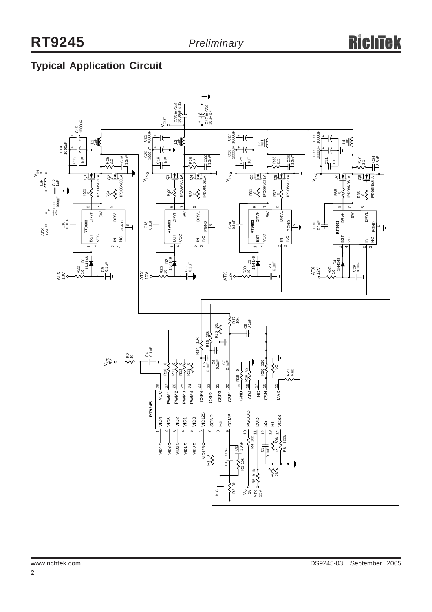# **Typical Application Circuit**

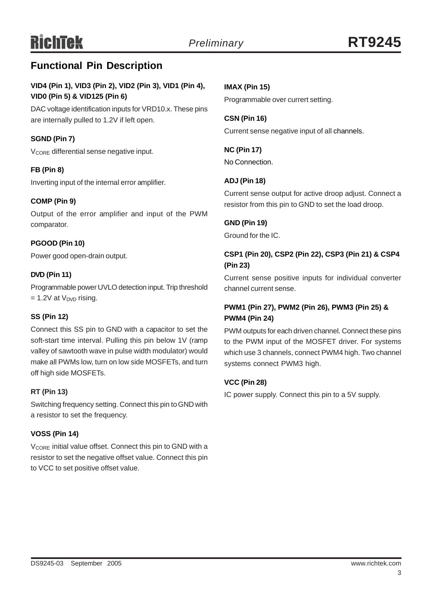# **Functional Pin Description**

### **VID4 (Pin 1), VID3 (Pin 2), VID2 (Pin 3), VID1 (Pin 4), VID0 (Pin 5) & VID125 (Pin 6)**

DAC voltage identification inputs for VRD10.x. These pins are internally pulled to 1.2V if left open.

#### **SGND (Pin 7)**

V<sub>CORE</sub> differential sense negative input.

#### **FB (Pin 8)**

Inverting input of the internal error amplifier.

#### **COMP (Pin 9)**

Output of the error amplifier and input of the PWM comparator.

#### **PGOOD (Pin 10)**

Power good open-drain output.

#### **DVD (Pin 11)**

Programmable power UVLO detection input. Trip threshold  $= 1.2V$  at  $V_{\text{DVD}}$  rising.

#### **SS (Pin 12)**

Connect this SS pin to GND with a capacitor to set the soft-start time interval. Pulling this pin below 1V (ramp valley of sawtooth wave in pulse width modulator) would make all PWMs low, turn on low side MOSFETs, and turn off high side MOSFETs.

#### **RT (Pin 13)**

Switching frequency setting. Connect this pin to GND with a resistor to set the frequency.

#### **VOSS (Pin 14)**

V<sub>CORE</sub> initial value offset. Connect this pin to GND with a resistor to set the negative offset value. Connect this pin to VCC to set positive offset value.

### **IMAX (Pin 15)**

Programmable over currert setting.

**CSN (Pin 16)** Current sense negative input of all channels.

**NC (Pin 17)** No Connection.

#### **ADJ (Pin 18)**

Current sense output for active droop adjust. Connect a resistor from this pin to GND to set the load droop.

#### **GND (Pin 19)**

Ground for the IC.

#### **CSP1 (Pin 20), CSP2 (Pin 22), CSP3 (Pin 21) & CSP4 (Pin 23)**

Current sense positive inputs for individual converter channel current sense.

### **PWM1 (Pin 27), PWM2 (Pin 26), PWM3 (Pin 25) & PWM4 (Pin 24)**

PWM outputs for each driven channel. Connect these pins to the PWM input of the MOSFET driver. For systems which use 3 channels, connect PWM4 high. Two channel systems connect PWM3 high.

#### **VCC (Pin 28)**

IC power supply. Connect this pin to a 5V supply.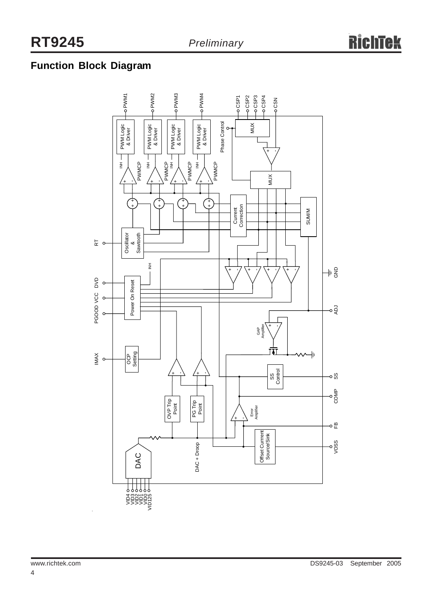# **Function Block Diagram**

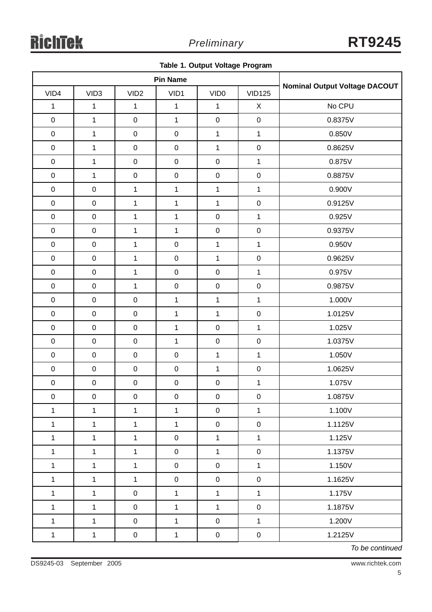|  |  |  | Table 1. Output Voltage Program |
|--|--|--|---------------------------------|
|--|--|--|---------------------------------|

| <b>Pin Name</b> |                  |                     |                     |                  |                |                               |
|-----------------|------------------|---------------------|---------------------|------------------|----------------|-------------------------------|
| VID4            | VID <sub>3</sub> | VID <sub>2</sub>    | VID1                | VID <sub>0</sub> | <b>VID125</b>  | Nominal Output Voltage DACOUT |
| $\mathbf 1$     | $\mathbf{1}$     | $\mathbf{1}$        | $\mathbf{1}$        | $\mathbf{1}$     | X              | No CPU                        |
| $\mathbf 0$     | $\mathbf{1}$     | $\pmb{0}$           | $\mathbf{1}$        | $\mathbf 0$      | $\mathbf 0$    | 0.8375V                       |
| $\mathbf 0$     | $\mathbf{1}$     | $\mathbf 0$         | $\boldsymbol{0}$    | $\mathbf{1}$     | $\mathbf{1}$   | 0.850V                        |
| $\mathbf 0$     | $\mathbf{1}$     | $\mathbf 0$         | $\mathbf 0$         | $\mathbf 1$      | $\mathbf 0$    | 0.8625V                       |
| $\mathbf 0$     | $\mathbf{1}$     | $\mathbf 0$         | $\pmb{0}$           | $\mathbf 0$      | $\mathbf{1}$   | 0.875V                        |
| $\mathsf 0$     | $\mathbf{1}$     | $\mathbf 0$         | $\pmb{0}$           | $\pmb{0}$        | $\mathsf 0$    | 0.8875V                       |
| $\pmb{0}$       | $\mathbf 0$      | $\mathbf{1}$        | $\mathbf{1}$        | $\mathbf{1}$     | $\mathbf{1}$   | 0.900V                        |
| $\pmb{0}$       | $\pmb{0}$        | $\mathbf{1}$        | $\mathbf{1}$        | $\mathbf{1}$     | $\mathsf 0$    | 0.9125V                       |
| $\pmb{0}$       | $\pmb{0}$        | $\mathbf{1}$        | $\mathbf{1}$        | $\mathbf 0$      | $\mathbf{1}$   | 0.925V                        |
| $\mathbf 0$     | $\pmb{0}$        | $\mathbf{1}$        | $\mathbf{1}$        | $\pmb{0}$        | $\mathbf 0$    | 0.9375V                       |
| $\mathbf 0$     | $\pmb{0}$        | $\mathbf{1}$        | $\pmb{0}$           | $\mathbf{1}$     | $\mathbf 1$    | 0.950V                        |
| $\pmb{0}$       | $\mathbf 0$      | $\mathbf{1}$        | $\pmb{0}$           | $\mathbf{1}$     | $\mathbf 0$    | 0.9625V                       |
| $\mathbf 0$     | $\pmb{0}$        | $\mathbf{1}$        | $\pmb{0}$           | $\pmb{0}$        | $\mathbf{1}$   | 0.975V                        |
| $\mathbf 0$     | $\mathbf 0$      | $\mathbf{1}$        | $\pmb{0}$           | $\mathbf 0$      | $\mathbf 0$    | 0.9875V                       |
| $\mathbf 0$     | $\pmb{0}$        | $\pmb{0}$           | $\mathbf{1}$        | $\mathbf{1}$     | $\mathbf{1}$   | 1.000V                        |
| $\mathbf 0$     | $\pmb{0}$        | $\mathbf 0$         | $\mathbf{1}$        | $\mathbf 1$      | $\mathbf 0$    | 1.0125V                       |
| $\mathbf 0$     | $\mathbf 0$      | $\mathbf 0$         | $\mathbf 1$         | $\mathbf 0$      | $\mathbf 1$    | 1.025V                        |
| $\mathsf 0$     | $\mathbf 0$      | $\mathbf 0$         | $\mathbf{1}$        | $\mathbf 0$      | $\mathbf 0$    | 1.0375V                       |
| $\pmb{0}$       | $\pmb{0}$        | $\mathbf 0$         | $\pmb{0}$           | 1                | $\mathbf{1}$   | 1.050V                        |
| $\mathbf 0$     | $\mathbf 0$      | $\mathbf 0$         | $\pmb{0}$           | $\mathbf{1}$     | $\pmb{0}$      | 1.0625V                       |
| $\pmb{0}$       | $\pmb{0}$        | $\pmb{0}$           | $\pmb{0}$           | $\mathbf 0$      | $\mathbf{1}$   | 1.075V                        |
| $\overline{0}$  | $\mathbf 0$      | $\mathbf{0}$        | $\mathbf{0}$        | $\mathbf{0}$     | $\overline{0}$ | 1.0875V                       |
| $\mathbf{1}$    | $\mathbf{1}$     | $\mathbf{1}$        | $\mathbf{1}$        | $\pmb{0}$        | $\mathbf{1}$   | 1.100V                        |
| $\mathbf{1}$    | $\mathbf{1}$     | $\mathbf{1}$        | $\mathbf{1}$        | $\pmb{0}$        | $\mathbf 0$    | 1.1125V                       |
| $\mathbf 1$     | $\mathbf{1}$     | $\mathbf{1}$        | $\mathsf{O}\xspace$ | $\mathbf{1}$     | $\mathbf{1}$   | 1.125V                        |
| $\mathbf{1}$    | $\mathbf{1}$     | $\mathbf{1}$        | $\mathbf 0$         | $\mathbf{1}$     | $\pmb{0}$      | 1.1375V                       |
| $\mathbf{1}$    | $\mathbf{1}$     | $\mathbf{1}$        | $\mathbf 0$         | $\pmb{0}$        | $\mathbf{1}$   | 1.150V                        |
| $\mathbf{1}$    | $\mathbf{1}$     | $\mathbf{1}$        | $\mathsf{O}\xspace$ | $\mathbf 0$      | $\mathsf 0$    | 1.1625V                       |
| $\mathbf 1$     | $\mathbf{1}$     | $\pmb{0}$           | $\mathbf 1$         | $\mathbf{1}$     | $\mathbf{1}$   | 1.175V                        |
| $\mathbf{1}$    | $\mathbf{1}$     | $\pmb{0}$           | $\mathbf{1}$        | $\mathbf{1}$     | $\mathbf 0$    | 1.1875V                       |
| $\mathbf{1}$    | $\mathbf{1}$     | $\mathsf{O}\xspace$ | $\mathbf{1}$        | $\pmb{0}$        | $\mathbf{1}$   | 1.200V                        |
| $\mathbf 1$     | $\mathbf 1$      | $\mathbf 0$         | $\mathbf{1}$        | $\mathbf 0$      | $\pmb{0}$      | 1.2125V                       |

*To be continued*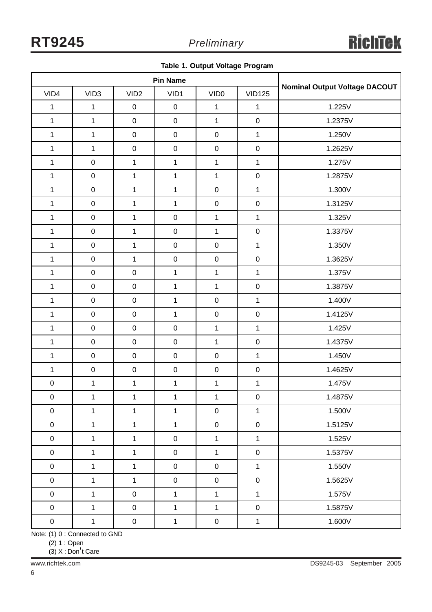|  |  |  |  | Table 1. Output Voltage Program |
|--|--|--|--|---------------------------------|
|--|--|--|--|---------------------------------|

| <b>Pin Name</b>     |                  |                  |                  |                  |                  |                                      |
|---------------------|------------------|------------------|------------------|------------------|------------------|--------------------------------------|
| VID4                | VID <sub>3</sub> | VID <sub>2</sub> | VID1             | VID <sub>0</sub> | <b>VID125</b>    | <b>Nominal Output Voltage DACOUT</b> |
| $\mathbf{1}$        | $\mathbf{1}$     | $\pmb{0}$        | $\mathbf 0$      | $\mathbf 1$      | $\mathbf 1$      | 1.225V                               |
| $\mathbf{1}$        | $\mathbf{1}$     | $\mathbf 0$      | $\pmb{0}$        | $\mathbf{1}$     | $\pmb{0}$        | 1.2375V                              |
| $\mathbf{1}$        | $\mathbf 1$      | $\mathbf 0$      | $\pmb{0}$        | $\boldsymbol{0}$ | $\mathbf{1}$     | 1.250V                               |
| $\mathbf{1}$        | $\mathbf{1}$     | $\mathbf 0$      | $\pmb{0}$        | $\pmb{0}$        | $\mathbf 0$      | 1.2625V                              |
| $\mathbf{1}$        | $\mathbf 0$      | $\mathbf{1}$     | $\mathbf{1}$     | $\mathbf{1}$     | $\mathbf{1}$     | 1.275V                               |
| $\mathbf{1}$        | $\pmb{0}$        | $\mathbf{1}$     | $\mathbf{1}$     | $\mathbf{1}$     | $\pmb{0}$        | 1.2875V                              |
| $\mathbf{1}$        | $\pmb{0}$        | $\mathbf{1}$     | $\mathbf{1}$     | $\pmb{0}$        | $\mathbf{1}$     | 1.300V                               |
| $\mathbf{1}$        | $\pmb{0}$        | $\mathbf{1}$     | $\mathbf{1}$     | $\pmb{0}$        | $\pmb{0}$        | 1.3125V                              |
| $\mathbf{1}$        | $\pmb{0}$        | $\mathbf{1}$     | $\mathbf 0$      | $\mathbf{1}$     | $\mathbf{1}$     | 1.325V                               |
| $\mathbf{1}$        | $\mathbf 0$      | $\mathbf{1}$     | $\pmb{0}$        | $\mathbf{1}$     | $\pmb{0}$        | 1.3375V                              |
| $\mathbf 1$         | $\mathbf 0$      | $\mathbf{1}$     | $\pmb{0}$        | $\mathbf 0$      | $\mathbf{1}$     | 1.350V                               |
| $\mathbf{1}$        | $\pmb{0}$        | $\mathbf{1}$     | $\mathbf 0$      | $\pmb{0}$        | $\pmb{0}$        | 1.3625V                              |
| $\mathbf{1}$        | $\mathsf 0$      | $\mathbf 0$      | $\mathbf{1}$     | $\mathbf{1}$     | $\mathbf{1}$     | 1.375V                               |
| $\mathbf{1}$        | $\pmb{0}$        | $\mathbf 0$      | $\mathbf{1}$     | $\mathbf{1}$     | $\pmb{0}$        | 1.3875V                              |
| $\mathbf{1}$        | $\pmb{0}$        | $\mathbf 0$      | $\mathbf{1}$     | $\pmb{0}$        | $\mathbf{1}$     | 1.400V                               |
| $\mathbf{1}$        | $\pmb{0}$        | $\mathbf 0$      | $\mathbf{1}$     | $\pmb{0}$        | $\pmb{0}$        | 1.4125V                              |
| $\mathbf{1}$        | $\pmb{0}$        | $\mathbf 0$      | $\pmb{0}$        | $\mathbf{1}$     | $\mathbf{1}$     | 1.425V                               |
| $\mathbf{1}$        | $\mathbf 0$      | $\mathbf 0$      | $\mathbf 0$      | $\mathbf{1}$     | $\pmb{0}$        | 1.4375V                              |
| $\mathbf{1}$        | $\pmb{0}$        | $\mathbf 0$      | $\pmb{0}$        | $\boldsymbol{0}$ | $\mathbf{1}$     | 1.450V                               |
| $\mathbf{1}$        | $\pmb{0}$        | $\mathbf 0$      | $\pmb{0}$        | $\boldsymbol{0}$ | $\pmb{0}$        | 1.4625V                              |
| $\pmb{0}$           | $\mathbf 1$      | $\mathbf{1}$     | $\mathbf{1}$     | $\mathbf{1}$     | $\mathbf 1$      | 1.475V                               |
| $\pmb{0}$           | $\mathbf 1$      | $\mathbf{1}$     | $\mathbf{1}$     | $\mathbf 1$      | $\pmb{0}$        | 1.4875V                              |
| $\pmb{0}$           | $\mathbf 1$      | $\mathbf{1}$     | $\mathbf{1}$     | $\boldsymbol{0}$ | $\mathbf{1}$     | 1.500V                               |
| $\mathsf{O}\xspace$ | $\mathbf{1}$     | $\mathbf{1}$     | $\mathbf{1}$     | $\boldsymbol{0}$ | $\mathbf 0$      | 1.5125V                              |
| $\mathbf 0$         | $\mathbf{1}$     | $\mathbf{1}$     | $\pmb{0}$        | $\mathbf{1}$     | $\mathbf{1}$     | 1.525V                               |
| $\mathbf 0$         | $\mathbf{1}$     | $\mathbf{1}$     | $\boldsymbol{0}$ | $\mathbf{1}$     | $\boldsymbol{0}$ | 1.5375V                              |
| $\boldsymbol{0}$    | $\mathbf{1}$     | $\mathbf{1}$     | $\pmb{0}$        | $\pmb{0}$        | $\mathbf{1}$     | 1.550V                               |
| $\boldsymbol{0}$    | $\mathbf{1}$     | $\mathbf{1}$     | $\boldsymbol{0}$ | $\boldsymbol{0}$ | $\pmb{0}$        | 1.5625V                              |
| $\mathbf 0$         | $\mathbf{1}$     | $\pmb{0}$        | $\mathbf{1}$     | $\mathbf{1}$     | $\mathbf{1}$     | 1.575V                               |
| $\mathsf{O}\xspace$ | $\mathbf{1}$     | $\pmb{0}$        | $\mathbf{1}$     | $\mathbf{1}$     | $\pmb{0}$        | 1.5875V                              |
| $\boldsymbol{0}$    | $\mathbf 1$      | $\boldsymbol{0}$ | $\mathbf{1}$     | $\boldsymbol{0}$ | $\mathbf 1$      | 1.600V                               |

Note: (1) 0 : Connected to GND

 $(2)$  1 : Open

(3) X : Don't Care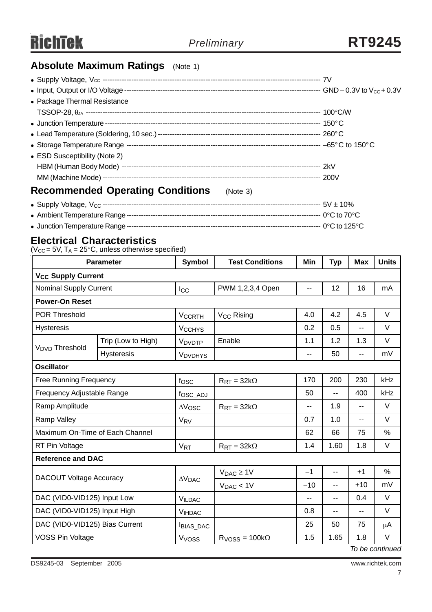# **Absolute Maximum Ratings** (Note 1)

| • Package Thermal Resistance                        |  |
|-----------------------------------------------------|--|
|                                                     |  |
|                                                     |  |
|                                                     |  |
|                                                     |  |
| • ESD Susceptibility (Note 2)                       |  |
|                                                     |  |
|                                                     |  |
| <b>Recommended Operating Conditions</b><br>(Note 3) |  |
|                                                     |  |

- <sup>z</sup> Ambient Temperature Range--------------------------------------------------------------------------------- 0°C to 70°C
- <sup>z</sup> Junction Temperature Range--------------------------------------------------------------------------------- 0°C to 125°C

### **Electrical Characteristics**

 $(V_{CC} = 5V, T_A = 25^{\circ}C,$  unless otherwise specified)

| <b>Parameter</b>                     |                    | <b>Symbol</b>            | <b>Test Conditions</b>      | Min                      | <b>Typ</b> | <b>Max</b>               | <b>Units</b> |  |
|--------------------------------------|--------------------|--------------------------|-----------------------------|--------------------------|------------|--------------------------|--------------|--|
| <b>V<sub>CC</sub> Supply Current</b> |                    |                          |                             |                          |            |                          |              |  |
| <b>Nominal Supply Current</b>        |                    | <b>Icc</b>               | PWM 1,2,3,4 Open            | $\overline{\phantom{a}}$ | 12         | 16                       | mA           |  |
| <b>Power-On Reset</b>                |                    |                          |                             |                          |            |                          |              |  |
| <b>POR Threshold</b>                 |                    | <b>VCCRTH</b>            | V <sub>CC</sub> Rising      | 4.0                      | 4.2        | 4.5                      | V            |  |
| <b>Hysteresis</b>                    |                    | <b>V<sub>CCHYS</sub></b> |                             | 0.2                      | 0.5        | $\overline{\phantom{a}}$ | V            |  |
|                                      | Trip (Low to High) | V <sub>DVDTP</sub>       | Enable                      | 1.1                      | 1.2        | 1.3                      | V            |  |
| V <sub>DVD</sub> Threshold           | Hysteresis         | <b>VDVDHYS</b>           |                             | --                       | 50         | $\overline{\phantom{a}}$ | mV           |  |
| <b>Oscillator</b>                    |                    |                          |                             |                          |            |                          |              |  |
| <b>Free Running Frequency</b>        |                    | fosc                     | $R_{\text{RT}} = 32k\Omega$ | 170                      | 200        | 230                      | kHz          |  |
| Frequency Adjustable Range           |                    | fosc_ADJ                 |                             | 50                       | --         | 400                      | kHz          |  |
| Ramp Amplitude                       |                    | $\Delta V$ OSC           | $R_{\text{RT}} = 32k\Omega$ | --                       | 1.9        | $\overline{a}$           | V            |  |
| Ramp Valley                          |                    | V <sub>RV</sub>          |                             | 0.7                      | 1.0        | --                       | V            |  |
| Maximum On-Time of Each Channel      |                    |                          |                             | 62                       | 66         | 75                       | %            |  |
| RT Pin Voltage                       |                    | <b>V<sub>RT</sub></b>    | $R_{\text{RT}} = 32k\Omega$ | 1.4                      | 1.60       | 1.8                      | V            |  |
| <b>Reference and DAC</b>             |                    |                          |                             |                          |            |                          |              |  |
|                                      |                    |                          | $V_{DAC} \geq 1V$           | $-1$                     | --         | $+1$                     | %            |  |
| <b>DACOUT Voltage Accuracy</b>       |                    | $\Delta \rm V_{DAC}$     | $V_{DAC}$ < 1V              | $-10$                    | $-$        | $+10$                    | mV           |  |
| DAC (VID0-VID125) Input Low          |                    | <b>VILDAC</b>            |                             | --                       | --         | 0.4                      | V            |  |
| DAC (VID0-VID125) Input High         |                    | <b>VIHDAC</b>            |                             | 0.8                      | -−         | $-$                      | V            |  |
| DAC (VID0-VID125) Bias Current       |                    | BIAS_DAC                 |                             | 25                       | 50         | 75                       | μA           |  |
| <b>VOSS Pin Voltage</b>              |                    | V <sub>VOSS</sub>        | $RVOSS = 100k\Omega$        | 1.5                      | 1.65       | 1.8                      | V<br>$\cdot$ |  |

*To be continued*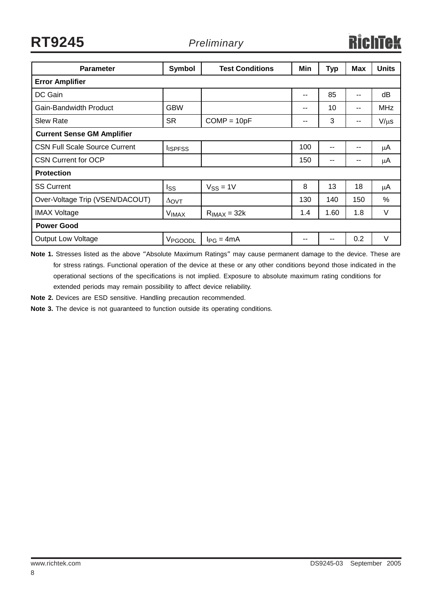**RT9245** *Preliminary*

| <b>Parameter</b>                     | <b>Symbol</b>       | <b>Test Conditions</b> | Min | <b>Typ</b> | <b>Max</b> | <b>Units</b> |  |  |  |
|--------------------------------------|---------------------|------------------------|-----|------------|------------|--------------|--|--|--|
| <b>Error Amplifier</b>               |                     |                        |     |            |            |              |  |  |  |
| DC Gain                              |                     |                        | --  | 85         | --         | dB           |  |  |  |
| Gain-Bandwidth Product               | <b>GBW</b>          |                        | --  | 10         | --         | <b>MHz</b>   |  |  |  |
| <b>Slew Rate</b>                     | <b>SR</b>           | $COMP = 10pF$          | --  | 3          | --         | $V/\mu s$    |  |  |  |
| <b>Current Sense GM Amplifier</b>    |                     |                        |     |            |            |              |  |  |  |
| <b>CSN Full Scale Source Current</b> | <b>I</b> ISPFSS     |                        | 100 | $-$        | --         | μA           |  |  |  |
| <b>CSN Current for OCP</b>           |                     |                        | 150 | $- -$      | --         | μA           |  |  |  |
| <b>Protection</b>                    |                     |                        |     |            |            |              |  |  |  |
| <b>SS Current</b>                    | Iss                 | $V_{SS} = 1V$          | 8   | 13         | 18         | μA           |  |  |  |
| Over-Voltage Trip (VSEN/DACOUT)      | $\Delta$ OVT        |                        | 130 | 140        | 150        | $\%$         |  |  |  |
| <b>IMAX Voltage</b>                  | <b>VIMAX</b>        | $R_{IMAX} = 32k$       | 1.4 | 1.60       | 1.8        | $\vee$       |  |  |  |
| <b>Power Good</b>                    |                     |                        |     |            |            |              |  |  |  |
| <b>Output Low Voltage</b>            | V <sub>PGOODL</sub> | $I_{PG} = 4mA$         | --  |            | 0.2        | V            |  |  |  |

**Note 1.** Stresses listed as the above "Absolute Maximum Ratings" may cause permanent damage to the device. These are for stress ratings. Functional operation of the device at these or any other conditions beyond those indicated in the operational sections of the specifications is not implied. Exposure to absolute maximum rating conditions for extended periods may remain possibility to affect device reliability.

**Note 2.** Devices are ESD sensitive. Handling precaution recommended.

**Note 3.** The device is not guaranteed to function outside its operating conditions.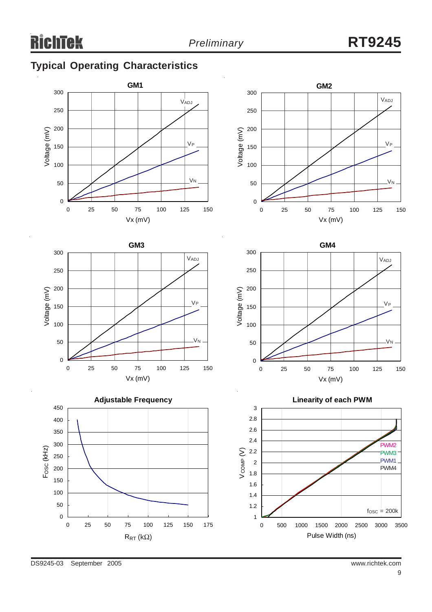# **Typical Operating Characteristics**











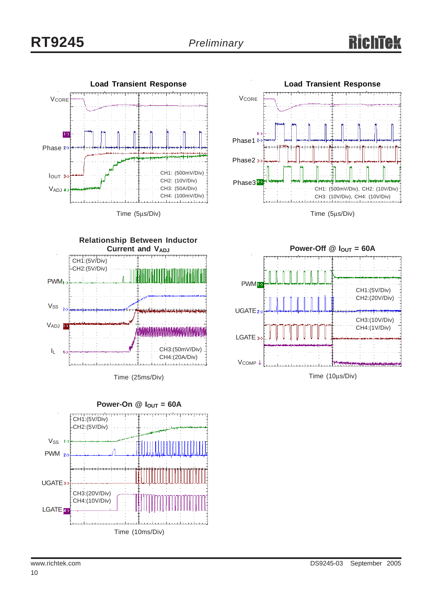



Time (5μs/Div)



Time (10μs/Div)

CH3:(10V/Div) CH4:(1V/Div)

CH1:(5V/Div) CH2:(20V/Div)





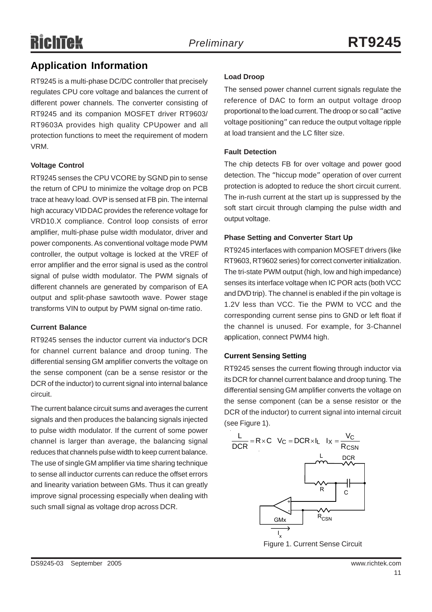## **Application Information**

RT9245 is a multi-phase DC/DC controller that precisely regulates CPU core voltage and balances the current of different power channels. The converter consisting of RT9245 and its companion MOSFET driver RT9603/ RT9603A provides high quality CPUpower and all protection functions to meet the requirement of modern VRM.

#### **Voltage Control**

RT9245 senses the CPU VCORE by SGND pin to sense the return of CPU to minimize the voltage drop on PCB trace at heavy load. OVP is sensed at FB pin. The internal high accuracy VID DAC provides the reference voltage for VRD10.X compliance. Control loop consists of error amplifier, multi-phase pulse width modulator, driver and power components. As conventional voltage mode PWM controller, the output voltage is locked at the VREF of error amplifier and the error signal is used as the control signal of pulse width modulator. The PWM signals of different channels are generated by comparison of EA output and split-phase sawtooth wave. Power stage transforms VIN to output by PWM signal on-time ratio.

#### **Current Balance**

RT9245 senses the inductor current via inductor's DCR for channel current balance and droop tuning. The differential sensing GM amplifier converts the voltage on the sense component (can be a sense resistor or the DCR of the inductor) to current signal into internal balance circuit.

The current balance circuit sums and averages the current signals and then produces the balancing signals injected to pulse width modulator. If the current of some power channel is larger than average, the balancing signal reduces that channels pulse width to keep current balance. The use of single GM amplifier via time sharing technique to sense all inductor currents can reduce the offset errors and linearity variation between GMs. Thus it can greatly improve signal processing especially when dealing with such small signal as voltage drop across DCR.

#### **Load Droop**

The sensed power channel current signals regulate the reference of DAC to form an output voltage droop proportional to the load current. The droop or so call "active voltage positioning" can reduce the output voltage ripple at load transient and the LC filter size.

#### **Fault Detection**

The chip detects FB for over voltage and power good detection. The "hiccup mode" operation of over current protection is adopted to reduce the short circuit current. The in-rush current at the start up is suppressed by the soft start circuit through clamping the pulse width and output voltage.

#### **Phase Setting and Converter Start Up**

RT9245 interfaces with companion MOSFET drivers (like RT9603, RT9602 series) for correct converter initialization. The tri-state PWM output (high, low and high impedance) senses its interface voltage when IC POR acts (both VCC and DVD trip). The channel is enabled if the pin voltage is 1.2V less than VCC. Tie the PWM to VCC and the corresponding current sense pins to GND or left float if the channel is unused. For example, for 3-Channel application, connect PWM4 high.

#### **Current Sensing Setting**

RT9245 senses the current flowing through inductor via its DCR for channel current balance and droop tuning. The differential sensing GM amplifier converts the voltage on the sense component (can be a sense resistor or the DCR of the inductor) to current signal into internal circuit (see Figure 1).



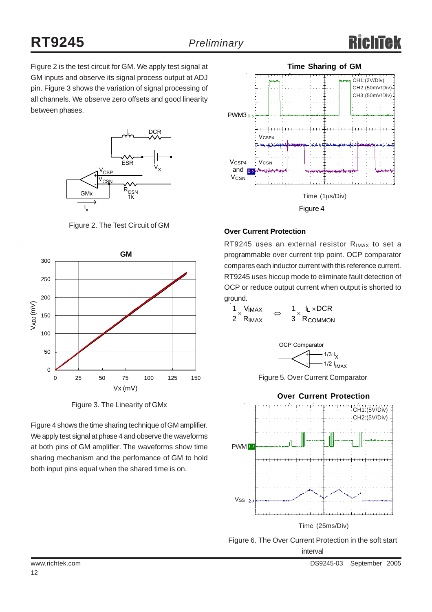Figure 2 is the test circuit for GM. We apply test signal at GM inputs and observe its signal process output at ADJ pin. Figure 3 shows the variation of signal processing of all channels. We observe zero offsets and good linearity between phases.



Figure 2. The Test Circuit of GM



Figure 3. The Linearity of GMx

Figure 4 shows the time sharing technique of GM amplifier. We apply test signal at phase 4 and observe the waveforms at both pins of GM amplifier. The waveforms show time sharing mechanism and the perfomance of GM to hold both input pins equal when the shared time is on.



#### **Over Current Protection**

RT9245 uses an external resistor R<sub>IMAX</sub> to set a programmable over current trip point. OCP comparator compares each inductor current with this reference current. RT9245 uses hiccup mode to eliminate fault detection of OCP or reduce output current when output is shorted to ground.

$$
\frac{1}{2} \times \frac{V_{IMAX}}{R_{IMAX}} \quad \Leftrightarrow \quad \frac{1}{3} \times \frac{I_L \times DCR}{R_{COMMON}}
$$



Figure 5. Over Current Comparator



Figure 6. The Over Current Protection in the soft start interval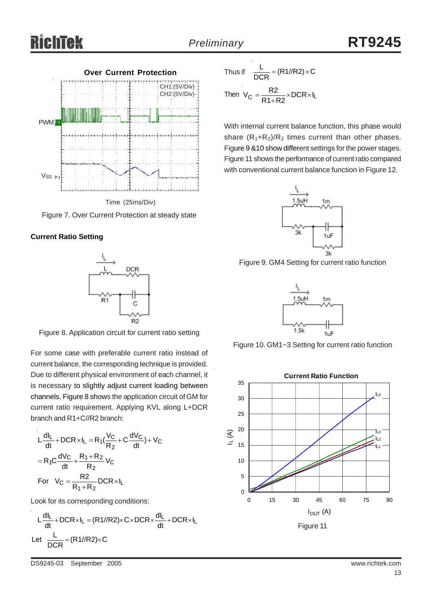



Figure 7. Over Current Protection at steady state





Figure 8. Application circuit for current ratio setting

For some case with preferable current ratio instead of current balance, the corresponding technique is provided. Due to different physical environment of each channel, it is necessary to slightly adjust current loading between channels. Figure 8 shows the application circuit of GM for current ratio requirement. Applying KVL along L+DCR branch and R1+C//R2 branch:

$$
L\frac{dl_L}{dt} + DCR \times I_L = R_1(\frac{V_C}{R_2} + C\frac{dV_C}{dt}) + V_C
$$

$$
= R_1C\frac{dV_C}{dt} + \frac{R_1 + R_2}{R_2}V_C
$$
  
For  $V_C = \frac{R_2}{R_1 + R_2} DCR \times I_L$ 

Look for its corresponding conditions:

$$
L\frac{dl_L}{dt} + DCR \times I_L = (R1 / R2) \times C \times DCR \times \frac{dl_L}{dt} + DCR \times I_L
$$
  
Let 
$$
\frac{L}{DCR} = (R1 / R2) \times C
$$

Thus if  $\frac{L}{DCR} = (R1/(R2) \times C)$ Then  $V_C = \frac{R2}{R1 + R2} \times DCR \times I_L$ 

With internal current balance function, this phase would share  $(R_1+R_2)/R_2$  times current than other phases. Figure 9 &10 show different settings for the power stages. Figure 11 shows the performance of current ratio compared with conventional current balance function in Figure 12.



Figure 9. GM4 Setting for current ratio function



Figure 10. GM1~3 Setting for current ratio function

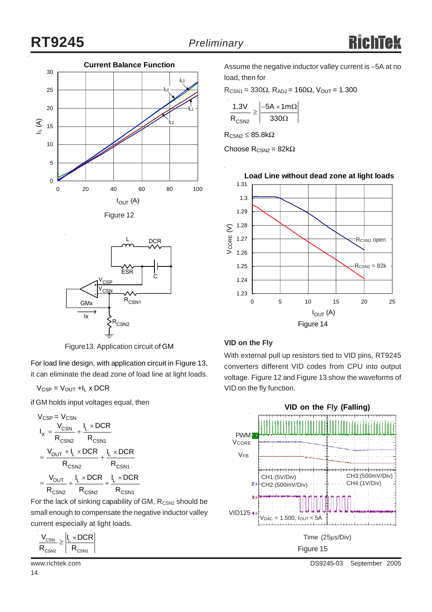





Figure13. Application circuit of GM

For load line design, with application circuit in Figure 13, it can eliminate the dead zone of load line at light loads.

 $V_{CSP} = V_{OUT} + I_L \times DCR$ 

if GM holds input voltages equal, then

$$
V_{CSP} = V_{CSN} \nI_X = \frac{V_{CSN}}{R_{CSN2}} + \frac{I_L \times DCR}{R_{CSN1}} \n= \frac{V_{OUT} + I_L \times DCR}{R_{CSN2}} + \frac{I_L \times DCR}{R_{CSN1}} \n= \frac{V_{OUT}}{R_{CSN2}} + \frac{I_L \times DCR}{R_{CSN2}} + \frac{I_L \times DCR}{R_{CSN1}}
$$

For the lack of sinking capability of GM,  $R_{CSN2}$  should be small enough to compensate the negative inductor valley current especially at light loads.

$$
\left|\frac{V_{\text{CSN}}}{R_{\text{CSN2}}}\!\geq\!\left|\!\frac{I_L\!\times\!DCR}{R_{\text{CSN1}}}\!\right|\right|
$$

Assume the negative inductor valley current is −5A at no load, then for

 $R_{CSN1} = 330\Omega$ ,  $R_{ADJ} = 160\Omega$ ,  $V_{OUT} = 1.300$ 

$$
\frac{1.3V}{R_{CSN2}} \ge \left| \frac{-5A \times 1m\Omega}{330\Omega} \right|
$$

 $R_{CSM2} \leq 85.8k\Omega$ 

Choose  $R_{CSN2} = 82k\Omega$ 



#### **VID on the Fly**

With external pull up resistors tied to VID pins, RT9245 converters different VID codes from CPU into output voltage. Figure 12 and Figure 13 show the waveforms of VID on the fly function.



www.richtek.com DS9245-03 September 2005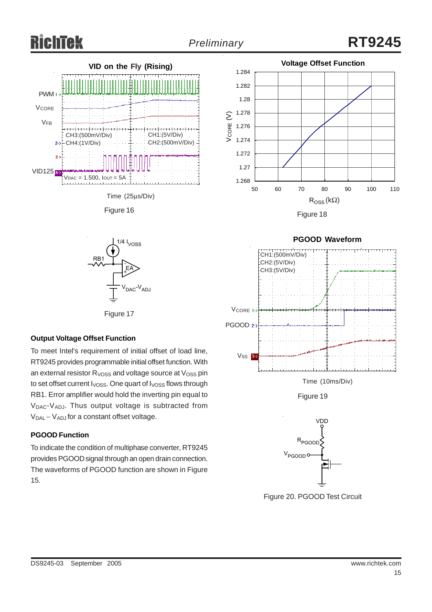





#### **Output Voltage Offset Function**

To meet Intel's requirement of initial offset of load line, RT9245 provides programmable initial offset function. With an external resistor  $R<sub>VOSS</sub>$  and voltage source at  $V<sub>OSS</sub>$  pin to set offset current  $I<sub>VOSS</sub>$ . One quart of  $I<sub>VOSS</sub>$  flows through RB1. Error amplifier would hold the inverting pin equal to V<sub>DAC</sub>-V<sub>ADJ</sub>. Thus output voltage is subtracted from V<sub>DAL</sub> – V<sub>ADJ</sub> for a constant offset voltage.

#### **PGOOD Function**

To indicate the condition of multiphase converter, RT9245 provides PGOOD signal through an open drain connection. The waveforms of PGOOD function are shown in Figure 15.



#### **PGOOD Waveform**





Figure 20. PGOOD Test Circuit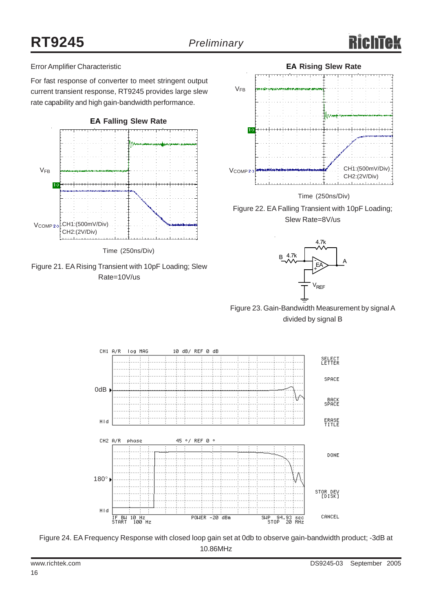#### Error Amplifier Characteristic

For fast response of converter to meet stringent output current transient response, RT9245 provides large slew rate capability and high gain-bandwidth performance.







Time (250ns/Div)





Figure 23. Gain-Bandwidth Measurement by signal A divided by signal B



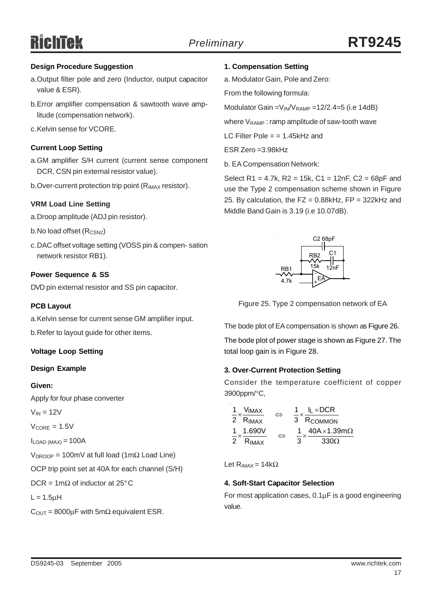#### **Design Procedure Suggestion**

- a.Output filter pole and zero (Inductor, output capacitor value & ESR).
- b.Error amplifier compensation & sawtooth wave amplitude (compensation network).
- c.Kelvin sense for VCORE.

#### **Current Loop Setting**

- a.GM amplifier S/H current (current sense component DCR, CSN pin external resistor value).
- b. Over-current protection trip point  $(R_{IMAX}$  resistor).

#### **VRM Load Line Setting**

- a.Droop amplitude (ADJ pin resistor).
- b.No load offset (R<sub>CSN2</sub>)
- c.DAC offset voltage setting (VOSS pin & compen- sation network resistor RB1).

#### **Power Sequence & SS**

DVD pin external resistor and SS pin capacitor.

#### **PCB Layout**

a.Kelvin sense for current sense GM amplifier input.

b.Refer to layout guide for other items.

#### **Voltage Loop Setting**

#### **Design Example**

#### **Given:**

Apply for four phase converter

 $V_{IN} = 12V$ 

 $V_{CORF} = 1.5V$ 

 $I_{LOAD (MAX)} = 100A$ 

 $V_{DROOP}$  = 100mV at full load (1mΩ Load Line)

OCP trip point set at 40A for each channel (S/H)

DCR =  $1 \text{m}\Omega$  of inductor at 25°C

 $L = 1.5$ uH

 $C_{\text{OUT}} = 8000 \mu F$  with 5m $\Omega$  equivalent ESR.

#### **1. Compensation Setting**

a. Modulator Gain, Pole and Zero:

From the following formula:

Modulator Gain =  $V_{\text{IN}}/V_{\text{RAMP}}$  = 12/2.4=5 (i.e 14dB)

where  $V_{\text{RAMP}}$ : ramp amplitude of saw-tooth wave

LC Filter Pole  $=$  = 1.45kHz and

 $FSR$   $Zero = 3.98kHz$ 

b. EA Compensation Network:

Select R1 = 4.7k, R2 = 15k, C1 = 12nF, C2 = 68pF and use the Type 2 compensation scheme shown in Figure 25. By calculation, the  $FZ = 0.88kHz$ ,  $FP = 322kHz$  and Middle Band Gain is 3.19 (i.e 10.07dB).



Figure 25. Type 2 compensation network of EA

The bode plot of EA compensation is shown as Figure 26.

The bode plot of power stage is shown as Figure 27. The total loop gain is in Figure 28.

#### **3. Over-Current Protection Setting**

Consider the temperature coefficient of copper 3900ppm/°C,

| $\frac{1}{1}$ $\times$ $\frac{V_{IMAX}}{V}$ | $\overline{\phantom{a}}$ | $I_L \times DCR$         |
|---------------------------------------------|--------------------------|--------------------------|
| 2 $RIMAX$                                   |                          | 3 RCOMMON                |
| 1 1.690V                                    | →                        | $40A \times 1.39m\Omega$ |
| 2 RIMAX                                     |                          | 330O<br>3                |

Let  $R_{IMAX} = 14k\Omega$ 

#### **4. Soft-Start Capacitor Selection**

For most application cases, 0.1μF is a good engineering value.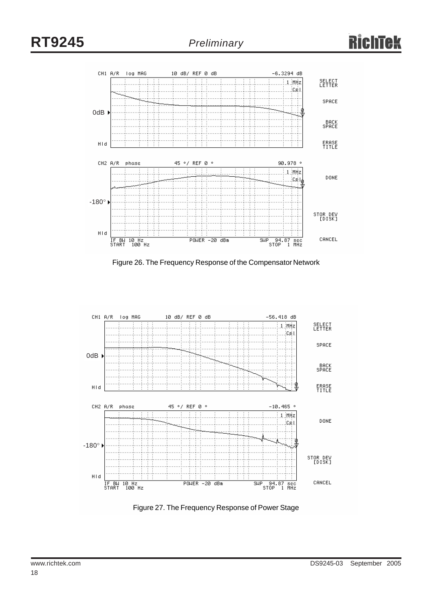

Figure 26. The Frequency Response of the Compensator Network



Figure 27. The Frequency Response of Power Stage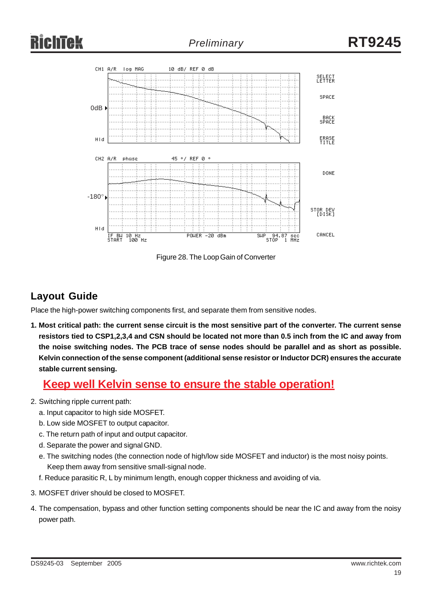

Figure 28. The Loop Gain of Converter

# **Layout Guide**

Place the high-power switching components first, and separate them from sensitive nodes.

**1. Most critical path: the current sense circuit is the most sensitive part of the converter. The current sense resistors tied to CSP1,2,3,4 and CSN should be located not more than 0.5 inch from the IC and away from the noise switching nodes. The PCB trace of sense nodes should be parallel and as short as possible. Kelvin connection of the sense component (additional sense resistor or Inductor DCR) ensures the accurate stable current sensing.**

## **Keep well Kelvin sense to ensure the stable operation!**

- 2. Switching ripple current path:
	- a. Input capacitor to high side MOSFET.
	- b. Low side MOSFET to output capacitor.
	- c. The return path of input and output capacitor.
	- d. Separate the power and signal GND.
	- e. The switching nodes (the connection node of high/low side MOSFET and inductor) is the most noisy points. Keep them away from sensitive small-signal node.
	- f. Reduce parasitic R, L by minimum length, enough copper thickness and avoiding of via.
- 3. MOSFET driver should be closed to MOSFET.
- 4. The compensation, bypass and other function setting components should be near the IC and away from the noisy power path.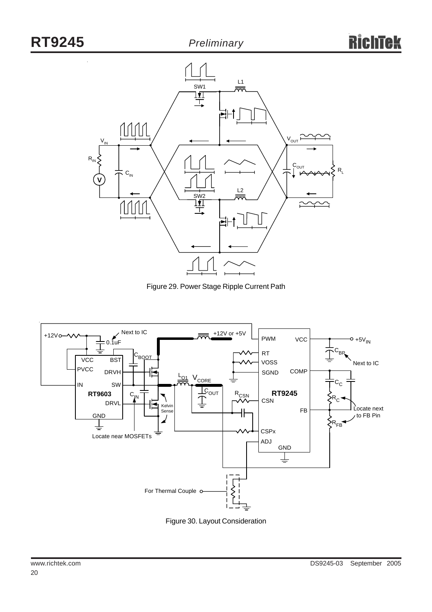

Figure 29. Power Stage Ripple Current Path



Figure 30. Layout Consideration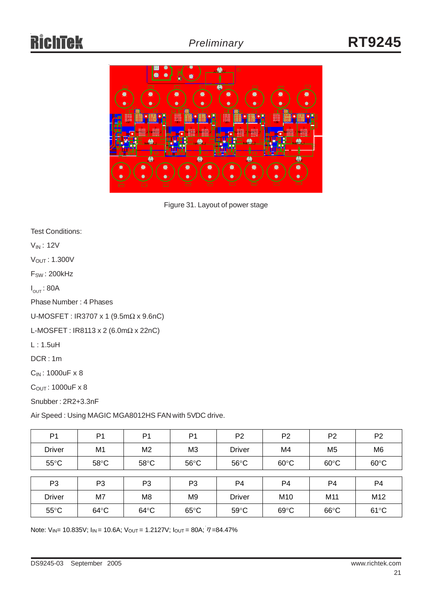

Figure 31. Layout of power stage

Test Conditions:

VIN : 12V

VOUT : 1.300V

 $F_{SW}$ : 200 $kHz$ 

 $I_{\mathsf{OUT}}$ : 80A

Phase Number : 4 Phases

U-MOSFET : IR3707 x 1 (9.5mΩ x 9.6nC)

L-MOSFET : IR8113 x 2 (6.0mΩ x 22nC)

L : 1.5uH

DCR : 1m

CIN : 1000uF x 8

 $C<sub>OUT</sub>: 1000uF x 8$ 

Snubber : 2R2+3.3nF

Air Speed : Using MAGIC MGA8012HS FAN with 5VDC drive.

| P <sub>1</sub> | P <sub>1</sub> | P <sub>1</sub> | P <sub>1</sub> | P <sub>2</sub> | P <sub>2</sub>  | P <sub>2</sub> | P <sub>2</sub> |
|----------------|----------------|----------------|----------------|----------------|-----------------|----------------|----------------|
| <b>Driver</b>  | M1             | M <sub>2</sub> | M <sub>3</sub> | <b>Driver</b>  | M4              | M <sub>5</sub> | M <sub>6</sub> |
| $55^{\circ}$ C | $58^{\circ}$ C | $58^{\circ}$ C | $56^{\circ}$ C | $56^{\circ}$ C | $60^{\circ}$ C  | $60^{\circ}$ C | $60^{\circ}$ C |
|                |                |                |                |                |                 |                |                |
| P <sub>3</sub> | P <sub>3</sub> | P <sub>3</sub> | P <sub>3</sub> | P <sub>4</sub> | P <sub>4</sub>  | P <sub>4</sub> | P <sub>4</sub> |
| <b>Driver</b>  | M7             | M8             | M9             | <b>Driver</b>  | M <sub>10</sub> | M11            | M12            |
| $55^{\circ}$ C | $64^{\circ}$ C | $64^{\circ}$ C | $65^{\circ}$ C | $59^{\circ}$ C | $69^{\circ}$ C  | $66^{\circ}$ C | $61^{\circ}$ C |

Note:  $V_{IN}$  = 10.835V;  $I_{IN}$  = 10.6A;  $V_{OUT}$  = 1.2127V;  $I_{OUT}$  = 80A;  $\eta$  = 84.47%